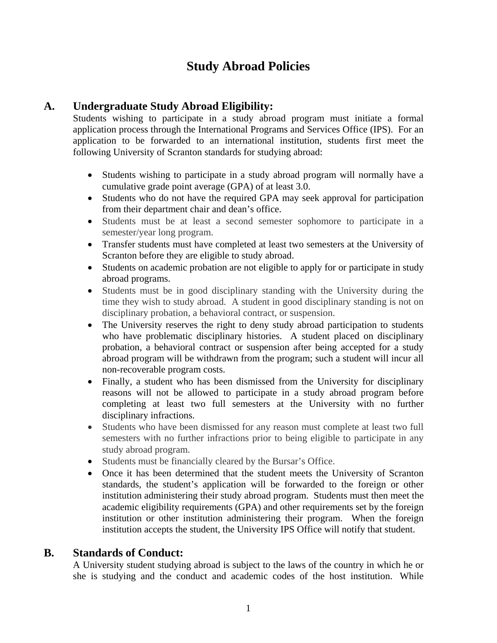# **Study Abroad Policies**

## **A. Undergraduate Study Abroad Eligibility:**

Students wishing to participate in a study abroad program must initiate a formal application process through the International Programs and Services Office (IPS). For an application to be forwarded to an international institution, students first meet the following University of Scranton standards for studying abroad:

- Students wishing to participate in a study abroad program will normally have a cumulative grade point average (GPA) of at least 3.0.
- Students who do not have the required GPA may seek approval for participation from their department chair and dean's office.
- Students must be at least a second semester sophomore to participate in a semester/year long program.
- Transfer students must have completed at least two semesters at the University of Scranton before they are eligible to study abroad.
- Students on academic probation are not eligible to apply for or participate in study abroad programs.
- Students must be in good disciplinary standing with the University during the time they wish to study abroad. A student in good disciplinary standing is not on disciplinary probation, a behavioral contract, or suspension.
- The University reserves the right to deny study abroad participation to students who have problematic disciplinary histories. A student placed on disciplinary probation, a behavioral contract or suspension after being accepted for a study abroad program will be withdrawn from the program; such a student will incur all non-recoverable program costs.
- Finally, a student who has been dismissed from the University for disciplinary reasons will not be allowed to participate in a study abroad program before completing at least two full semesters at the University with no further disciplinary infractions.
- Students who have been dismissed for any reason must complete at least two full semesters with no further infractions prior to being eligible to participate in any study abroad program.
- Students must be financially cleared by the Bursar's Office.
- Once it has been determined that the student meets the University of Scranton standards, the student's application will be forwarded to the foreign or other institution administering their study abroad program. Students must then meet the academic eligibility requirements (GPA) and other requirements set by the foreign institution or other institution administering their program. When the foreign institution accepts the student, the University IPS Office will notify that student.

### **B. Standards of Conduct:**

A University student studying abroad is subject to the laws of the country in which he or she is studying and the conduct and academic codes of the host institution. While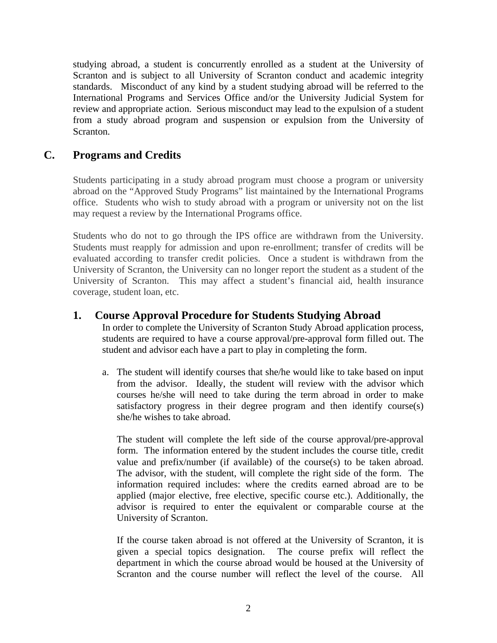studying abroad, a student is concurrently enrolled as a student at the University of Scranton and is subject to all University of Scranton conduct and academic integrity standards. Misconduct of any kind by a student studying abroad will be referred to the International Programs and Services Office and/or the University Judicial System for review and appropriate action. Serious misconduct may lead to the expulsion of a student from a study abroad program and suspension or expulsion from the University of Scranton.

### **C. Programs and Credits**

Students participating in a study abroad program must choose a program or university abroad on the "Approved Study Programs" list maintained by the International Programs office. Students who wish to study abroad with a program or university not on the list may request a review by the International Programs office.

Students who do not to go through the IPS office are withdrawn from the University. Students must reapply for admission and upon re-enrollment; transfer of credits will be evaluated according to transfer credit policies. Once a student is withdrawn from the University of Scranton, the University can no longer report the student as a student of the University of Scranton. This may affect a student's financial aid, health insurance coverage, student loan, etc.

#### **1. Course Approval Procedure for Students Studying Abroad**

In order to complete the University of Scranton Study Abroad application process, students are required to have a course approval/pre-approval form filled out. The student and advisor each have a part to play in completing the form.

a. The student will identify courses that she/he would like to take based on input from the advisor. Ideally, the student will review with the advisor which courses he/she will need to take during the term abroad in order to make satisfactory progress in their degree program and then identify course(s) she/he wishes to take abroad.

The student will complete the left side of the course approval/pre-approval form. The information entered by the student includes the course title, credit value and prefix/number (if available) of the course(s) to be taken abroad. The advisor, with the student, will complete the right side of the form. The information required includes: where the credits earned abroad are to be applied (major elective, free elective, specific course etc.). Additionally, the advisor is required to enter the equivalent or comparable course at the University of Scranton.

If the course taken abroad is not offered at the University of Scranton, it is given a special topics designation. The course prefix will reflect the department in which the course abroad would be housed at the University of Scranton and the course number will reflect the level of the course. All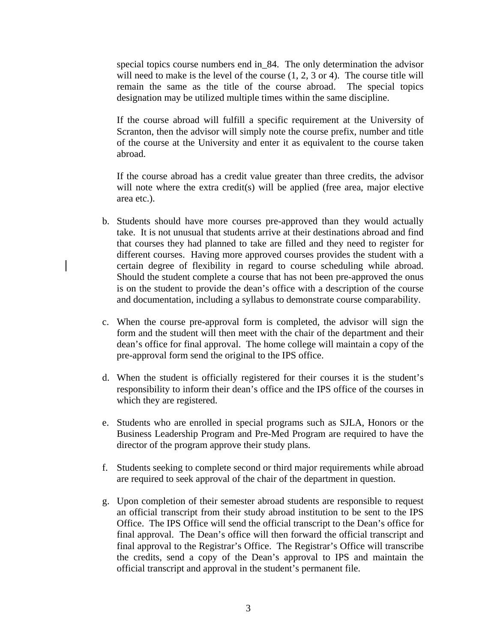special topics course numbers end in\_84. The only determination the advisor will need to make is the level of the course  $(1, 2, 3 \text{ or } 4)$ . The course title will remain the same as the title of the course abroad. The special topics designation may be utilized multiple times within the same discipline.

If the course abroad will fulfill a specific requirement at the University of Scranton, then the advisor will simply note the course prefix, number and title of the course at the University and enter it as equivalent to the course taken abroad.

If the course abroad has a credit value greater than three credits, the advisor will note where the extra credit(s) will be applied (free area, major elective area etc.).

- b. Students should have more courses pre-approved than they would actually take. It is not unusual that students arrive at their destinations abroad and find that courses they had planned to take are filled and they need to register for different courses. Having more approved courses provides the student with a certain degree of flexibility in regard to course scheduling while abroad. Should the student complete a course that has not been pre-approved the onus is on the student to provide the dean's office with a description of the course and documentation, including a syllabus to demonstrate course comparability.
- c. When the course pre-approval form is completed, the advisor will sign the form and the student will then meet with the chair of the department and their dean's office for final approval. The home college will maintain a copy of the pre-approval form send the original to the IPS office.
- d. When the student is officially registered for their courses it is the student's responsibility to inform their dean's office and the IPS office of the courses in which they are registered.
- e. Students who are enrolled in special programs such as SJLA, Honors or the Business Leadership Program and Pre-Med Program are required to have the director of the program approve their study plans.
- f. Students seeking to complete second or third major requirements while abroad are required to seek approval of the chair of the department in question.
- g. Upon completion of their semester abroad students are responsible to request an official transcript from their study abroad institution to be sent to the IPS Office. The IPS Office will send the official transcript to the Dean's office for final approval. The Dean's office will then forward the official transcript and final approval to the Registrar's Office. The Registrar's Office will transcribe the credits, send a copy of the Dean's approval to IPS and maintain the official transcript and approval in the student's permanent file.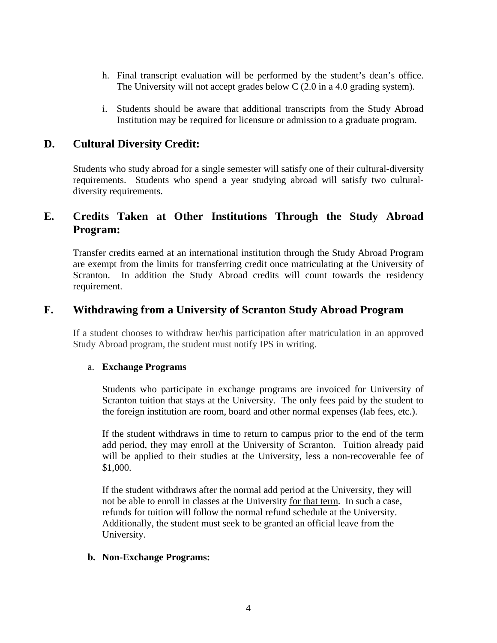- h. Final transcript evaluation will be performed by the student's dean's office. The University will not accept grades below C (2.0 in a 4.0 grading system).
- i. Students should be aware that additional transcripts from the Study Abroad Institution may be required for licensure or admission to a graduate program.

#### **D. Cultural Diversity Credit:**

Students who study abroad for a single semester will satisfy one of their cultural-diversity requirements. Students who spend a year studying abroad will satisfy two culturaldiversity requirements.

#### **E. Credits Taken at Other Institutions Through the Study Abroad Program:**

Transfer credits earned at an international institution through the Study Abroad Program are exempt from the limits for transferring credit once matriculating at the University of Scranton. In addition the Study Abroad credits will count towards the residency requirement.

### **F. Withdrawing from a University of Scranton Study Abroad Program**

If a student chooses to withdraw her/his participation after matriculation in an approved Study Abroad program, the student must notify IPS in writing.

#### a. **Exchange Programs**

Students who participate in exchange programs are invoiced for University of Scranton tuition that stays at the University. The only fees paid by the student to the foreign institution are room, board and other normal expenses (lab fees, etc.).

If the student withdraws in time to return to campus prior to the end of the term add period, they may enroll at the University of Scranton. Tuition already paid will be applied to their studies at the University, less a non-recoverable fee of \$1,000.

If the student withdraws after the normal add period at the University, they will not be able to enroll in classes at the University for that term. In such a case, refunds for tuition will follow the normal refund schedule at the University. Additionally, the student must seek to be granted an official leave from the University.

#### **b. Non-Exchange Programs:**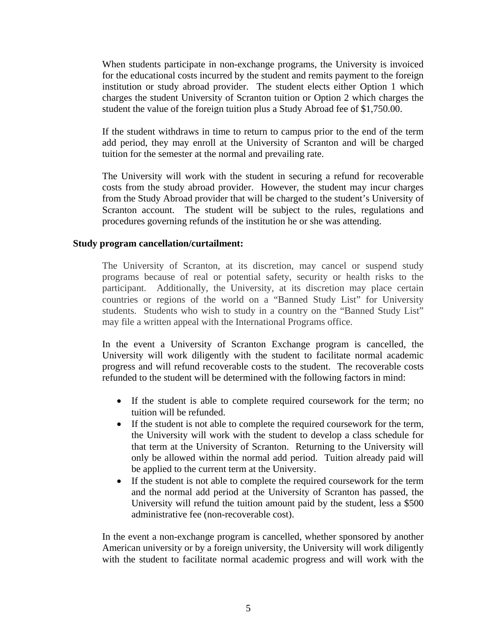When students participate in non-exchange programs, the University is invoiced for the educational costs incurred by the student and remits payment to the foreign institution or study abroad provider. The student elects either Option 1 which charges the student University of Scranton tuition or Option 2 which charges the student the value of the foreign tuition plus a Study Abroad fee of \$1,750.00.

If the student withdraws in time to return to campus prior to the end of the term add period, they may enroll at the University of Scranton and will be charged tuition for the semester at the normal and prevailing rate.

The University will work with the student in securing a refund for recoverable costs from the study abroad provider. However, the student may incur charges from the Study Abroad provider that will be charged to the student's University of Scranton account. The student will be subject to the rules, regulations and procedures governing refunds of the institution he or she was attending.

#### **Study program cancellation/curtailment:**

The University of Scranton, at its discretion, may cancel or suspend study programs because of real or potential safety, security or health risks to the participant. Additionally, the University, at its discretion may place certain countries or regions of the world on a "Banned Study List" for University students. Students who wish to study in a country on the "Banned Study List" may file a written appeal with the International Programs office.

In the event a University of Scranton Exchange program is cancelled, the University will work diligently with the student to facilitate normal academic progress and will refund recoverable costs to the student. The recoverable costs refunded to the student will be determined with the following factors in mind:

- If the student is able to complete required coursework for the term; no tuition will be refunded.
- If the student is not able to complete the required coursework for the term, the University will work with the student to develop a class schedule for that term at the University of Scranton. Returning to the University will only be allowed within the normal add period. Tuition already paid will be applied to the current term at the University.
- If the student is not able to complete the required coursework for the term and the normal add period at the University of Scranton has passed, the University will refund the tuition amount paid by the student, less a \$500 administrative fee (non-recoverable cost).

In the event a non-exchange program is cancelled, whether sponsored by another American university or by a foreign university, the University will work diligently with the student to facilitate normal academic progress and will work with the